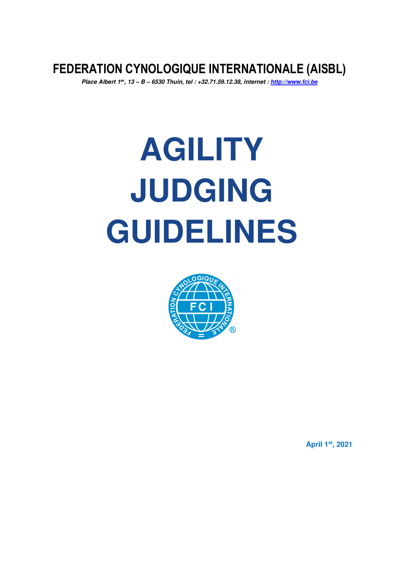**FEDERATION CYNOLOGIQUE INTERNATIONALE (AISBL)** 

*Place Albert 1er, 13 – B – 6530 Thuin, tel : +32.71.59.12.38, internet : http://www.fci.be* 

# **AGILITY JUDGING GUIDELINES**



**April 1st, 2021**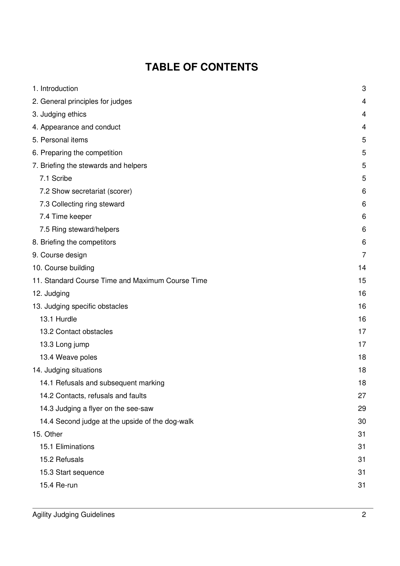# **TABLE OF CONTENTS**

| 1. Introduction                                  | 3              |
|--------------------------------------------------|----------------|
| 2. General principles for judges                 | $\overline{4}$ |
| 3. Judging ethics                                | 4              |
| 4. Appearance and conduct                        | 4              |
| 5. Personal items                                | 5              |
| 6. Preparing the competition                     | 5              |
| 7. Briefing the stewards and helpers             | 5              |
| 7.1 Scribe                                       | 5              |
| 7.2 Show secretariat (scorer)                    | 6              |
| 7.3 Collecting ring steward                      | 6              |
| 7.4 Time keeper                                  | 6              |
| 7.5 Ring steward/helpers                         | 6              |
| 8. Briefing the competitors                      | 6              |
| 9. Course design                                 | 7              |
| 10. Course building                              | 14             |
| 11. Standard Course Time and Maximum Course Time | 15             |
| 12. Judging                                      | 16             |
| 13. Judging specific obstacles                   | 16             |
| 13.1 Hurdle                                      | 16             |
| 13.2 Contact obstacles                           | 17             |
| 13.3 Long jump                                   | 17             |
| 13.4 Weave poles                                 | 18             |
| 14. Judging situations                           | 18             |
| 14.1 Refusals and subsequent marking             | 18             |
| 14.2 Contacts, refusals and faults               | 27             |
| 14.3 Judging a flyer on the see-saw              | 29             |
| 14.4 Second judge at the upside of the dog-walk  | 30             |
| 15. Other                                        | 31             |
| 15.1 Eliminations                                | 31             |
| 15.2 Refusals                                    | 31             |
| 15.3 Start sequence                              | 31             |
| 15.4 Re-run                                      | 31             |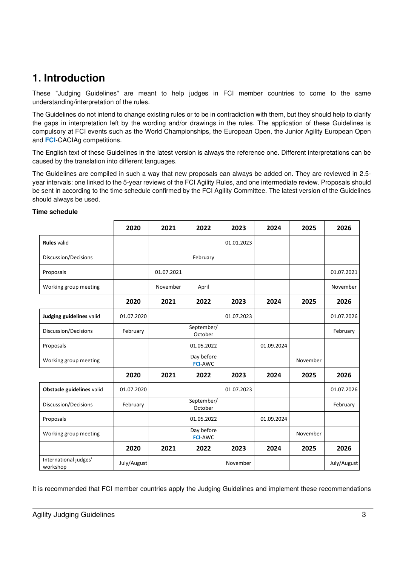# **1. Introduction**

These "Judging Guidelines" are meant to help judges in FCI member countries to come to the same understanding/interpretation of the rules.

The Guidelines do not intend to change existing rules or to be in contradiction with them, but they should help to clarify the gaps in interpretation left by the wording and/or drawings in the rules. The application of these Guidelines is compulsory at FCI events such as the World Championships, the European Open, the Junior Agility European Open and **FCI**-CACIAg competitions.

The English text of these Guidelines in the latest version is always the reference one. Different interpretations can be caused by the translation into different languages.

The Guidelines are compiled in such a way that new proposals can always be added on. They are reviewed in 2.5 year intervals: one linked to the 5-year reviews of the FCI Agility Rules, and one intermediate review. Proposals should be sent in according to the time schedule confirmed by the FCI Agility Committee. The latest version of the Guidelines should always be used.

|                                   | 2020        | 2021       | 2022                         | 2023       | 2024       | 2025     | 2026        |
|-----------------------------------|-------------|------------|------------------------------|------------|------------|----------|-------------|
| <b>Rules valid</b>                |             |            |                              | 01.01.2023 |            |          |             |
| Discussion/Decisions              |             |            | February                     |            |            |          |             |
| Proposals                         |             | 01.07.2021 |                              |            |            |          | 01.07.2021  |
| Working group meeting             |             | November   | April                        |            |            |          | November    |
|                                   | 2020        | 2021       | 2022                         | 2023       | 2024       | 2025     | 2026        |
| Judging guidelines valid          | 01.07.2020  |            |                              | 01.07.2023 |            |          | 01.07.2026  |
| Discussion/Decisions              | February    |            | September/<br>October        |            |            |          | February    |
| Proposals                         |             |            | 01.05.2022                   |            | 01.09.2024 |          |             |
| Working group meeting             |             |            | Day before<br><b>FCI-AWC</b> |            |            | November |             |
|                                   | 2020        | 2021       | 2022                         | 2023       | 2024       | 2025     | 2026        |
| Obstacle guidelines valid         | 01.07.2020  |            |                              | 01.07.2023 |            |          | 01.07.2026  |
| Discussion/Decisions              | February    |            | September/<br>October        |            |            |          | February    |
| Proposals                         |             |            | 01.05.2022                   |            | 01.09.2024 |          |             |
| Working group meeting             |             |            | Day before<br><b>FCI-AWC</b> |            |            | November |             |
|                                   | 2020        | 2021       | 2022                         | 2023       | 2024       | 2025     | 2026        |
| International judges'<br>workshop | July/August |            |                              | November   |            |          | July/August |

#### **Time schedule**

It is recommended that FCI member countries apply the Judging Guidelines and implement these recommendations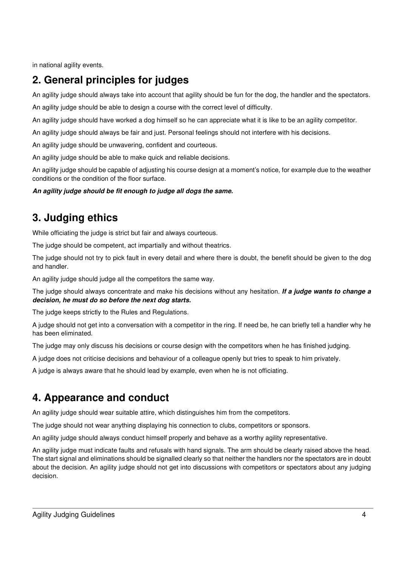in national agility events.

# **2. General principles for judges**

An agility judge should always take into account that agility should be fun for the dog, the handler and the spectators.

An agility judge should be able to design a course with the correct level of difficulty.

An agility judge should have worked a dog himself so he can appreciate what it is like to be an agility competitor.

An agility judge should always be fair and just. Personal feelings should not interfere with his decisions.

An agility judge should be unwavering, confident and courteous.

An agility judge should be able to make quick and reliable decisions.

An agility judge should be capable of adjusting his course design at a moment's notice, for example due to the weather conditions or the condition of the floor surface.

*An agility judge should be fit enough to judge all dogs the same.* 

# **3. Judging ethics**

While officiating the judge is strict but fair and always courteous.

The judge should be competent, act impartially and without theatrics.

The judge should not try to pick fault in every detail and where there is doubt, the benefit should be given to the dog and handler.

An agility judge should judge all the competitors the same way.

The judge should always concentrate and make his decisions without any hesitation. *If a judge wants to change a decision, he must do so before the next dog starts.*

The judge keeps strictly to the Rules and Regulations.

A judge should not get into a conversation with a competitor in the ring. If need be, he can briefly tell a handler why he has been eliminated.

The judge may only discuss his decisions or course design with the competitors when he has finished judging.

A judge does not criticise decisions and behaviour of a colleague openly but tries to speak to him privately.

A judge is always aware that he should lead by example, even when he is not officiating.

# **4. Appearance and conduct**

An agility judge should wear suitable attire, which distinguishes him from the competitors.

The judge should not wear anything displaying his connection to clubs, competitors or sponsors.

An agility judge should always conduct himself properly and behave as a worthy agility representative.

An agility judge must indicate faults and refusals with hand signals. The arm should be clearly raised above the head. The start signal and eliminations should be signalled clearly so that neither the handlers nor the spectators are in doubt about the decision. An agility judge should not get into discussions with competitors or spectators about any judging decision.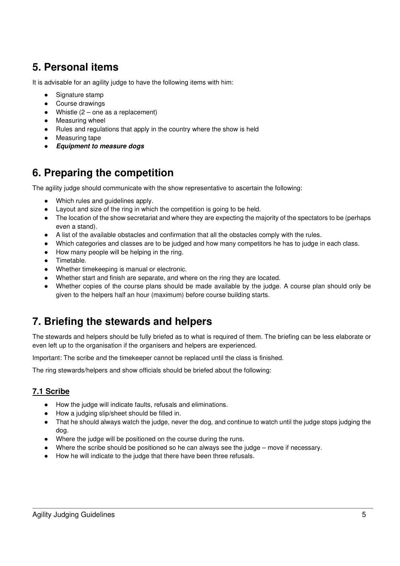# **5. Personal items**

It is advisable for an agility judge to have the following items with him:

- Signature stamp
- Course drawings
- Whistle  $(2 -$  one as a replacement)
- Measuring wheel
- Rules and regulations that apply in the country where the show is held
- Measuring tape
- *Equipment to measure dogs*

# **6. Preparing the competition**

The agility judge should communicate with the show representative to ascertain the following:

- Which rules and guidelines apply.
- Layout and size of the ring in which the competition is going to be held.
- The location of the show secretariat and where they are expecting the majority of the spectators to be (perhaps even a stand).
- A list of the available obstacles and confirmation that all the obstacles comply with the rules.
- Which categories and classes are to be judged and how many competitors he has to judge in each class.
- How many people will be helping in the ring.
- Timetable.
- Whether timekeeping is manual or electronic.
- Whether start and finish are separate, and where on the ring they are located.
- Whether copies of the course plans should be made available by the judge. A course plan should only be given to the helpers half an hour (maximum) before course building starts.

# **7. Briefing the stewards and helpers**

The stewards and helpers should be fully briefed as to what is required of them. The briefing can be less elaborate or even left up to the organisation if the organisers and helpers are experienced.

Important: The scribe and the timekeeper cannot be replaced until the class is finished.

The ring stewards/helpers and show officials should be briefed about the following:

# **7.1 Scribe**

- How the judge will indicate faults, refusals and eliminations.
- How a judging slip/sheet should be filled in.
- That he should always watch the judge, never the dog, and continue to watch until the judge stops judging the dog.
- Where the judge will be positioned on the course during the runs.
- Where the scribe should be positioned so he can always see the judge move if necessary.
- How he will indicate to the judge that there have been three refusals.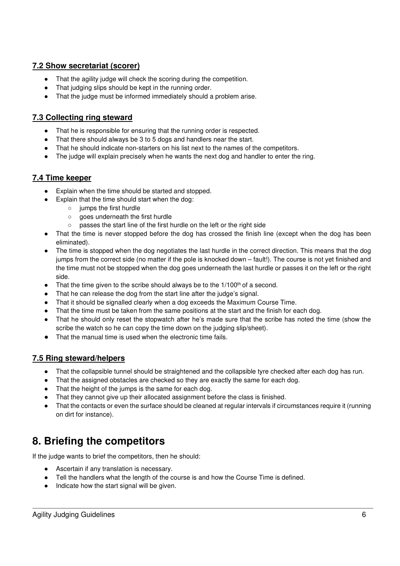## **7.2 Show secretariat (scorer)**

- That the agility judge will check the scoring during the competition.
- That judging slips should be kept in the running order.
- That the judge must be informed immediately should a problem arise.

## **7.3 Collecting ring steward**

- That he is responsible for ensuring that the running order is respected.
- That there should always be 3 to 5 dogs and handlers near the start.
- That he should indicate non-starters on his list next to the names of the competitors.
- The judge will explain precisely when he wants the next dog and handler to enter the ring.

## **7.4 Time keeper**

- Explain when the time should be started and stopped.
- Explain that the time should start when the dog:
	- jumps the first hurdle
		- goes underneath the first hurdle
		- passes the start line of the first hurdle on the left or the right side
- That the time is never stopped before the dog has crossed the finish line (except when the dog has been eliminated).
- The time is stopped when the dog negotiates the last hurdle in the correct direction. This means that the dog jumps from the correct side (no matter if the pole is knocked down – fault!). The course is not yet finished and the time must not be stopped when the dog goes underneath the last hurdle or passes it on the left or the right side.
- $\bullet$  That the time given to the scribe should always be to the 1/100<sup>th</sup> of a second.
- That he can release the dog from the start line after the judge's signal.
- That it should be signalled clearly when a dog exceeds the Maximum Course Time.
- That the time must be taken from the same positions at the start and the finish for each dog.
- That he should only reset the stopwatch after he's made sure that the scribe has noted the time (show the scribe the watch so he can copy the time down on the judging slip/sheet).
- That the manual time is used when the electronic time fails.

## **7.5 Ring steward/helpers**

- That the collapsible tunnel should be straightened and the collapsible tyre checked after each dog has run.
- That the assigned obstacles are checked so they are exactly the same for each dog.
- That the height of the jumps is the same for each dog.
- That they cannot give up their allocated assignment before the class is finished.
- That the contacts or even the surface should be cleaned at regular intervals if circumstances require it (running on dirt for instance).

# **8. Briefing the competitors**

If the judge wants to brief the competitors, then he should:

- Ascertain if any translation is necessary.
- Tell the handlers what the length of the course is and how the Course Time is defined.
- Indicate how the start signal will be given.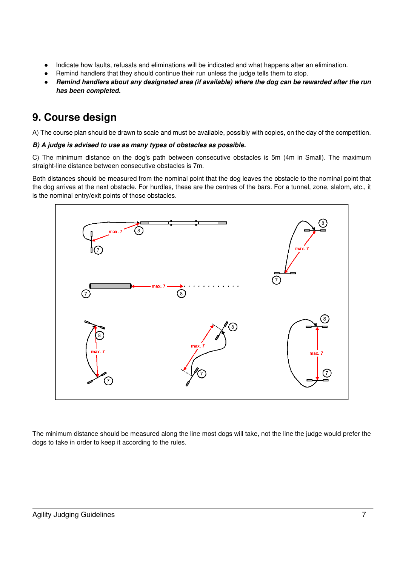- Indicate how faults, refusals and eliminations will be indicated and what happens after an elimination.
- Remind handlers that they should continue their run unless the judge tells them to stop.
- *Remind handlers about any designated area (if available) where the dog can be rewarded after the run has been completed.*

# **9. Course design**

A) The course plan should be drawn to scale and must be available, possibly with copies, on the day of the competition.

## *B) A judge is advised to use as many types of obstacles as possible.*

C) The minimum distance on the dog's path between consecutive obstacles is 5m (4m in Small). The maximum straight-line distance between consecutive obstacles is 7m.

Both distances should be measured from the nominal point that the dog leaves the obstacle to the nominal point that the dog arrives at the next obstacle. For hurdles, these are the centres of the bars. For a tunnel, zone, slalom, etc., it is the nominal entry/exit points of those obstacles.



The minimum distance should be measured along the line most dogs will take, not the line the judge would prefer the dogs to take in order to keep it according to the rules.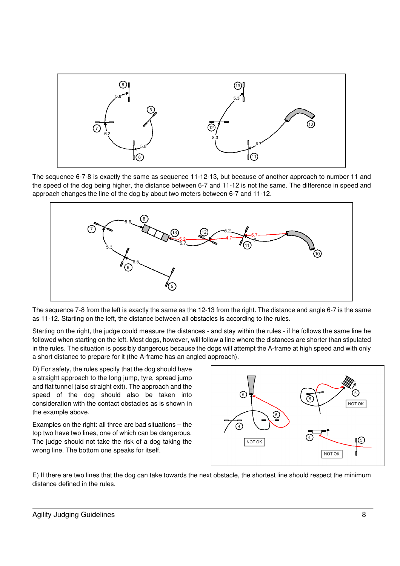

The sequence 6-7-8 is exactly the same as sequence 11-12-13, but because of another approach to number 11 and the speed of the dog being higher, the distance between 6-7 and 11-12 is not the same. The difference in speed and approach changes the line of the dog by about two meters between 6-7 and 11-12.



The sequence 7-8 from the left is exactly the same as the 12-13 from the right. The distance and angle 6-7 is the same as 11-12. Starting on the left, the distance between all obstacles is according to the rules.

Starting on the right, the judge could measure the distances - and stay within the rules - if he follows the same line he followed when starting on the left. Most dogs, however, will follow a line where the distances are shorter than stipulated in the rules. The situation is possibly dangerous because the dogs will attempt the A-frame at high speed and with only a short distance to prepare for it (the A-frame has an angled approach).

D) For safety, the rules specify that the dog should have a straight approach to the long jump, tyre, spread jump and flat tunnel (also straight exit). The approach and the speed of the dog should also be taken into consideration with the contact obstacles as is shown in the example above.

Examples on the right: all three are bad situations – the top two have two lines, one of which can be dangerous. The judge should not take the risk of a dog taking the wrong line. The bottom one speaks for itself.



E) If there are two lines that the dog can take towards the next obstacle, the shortest line should respect the minimum distance defined in the rules.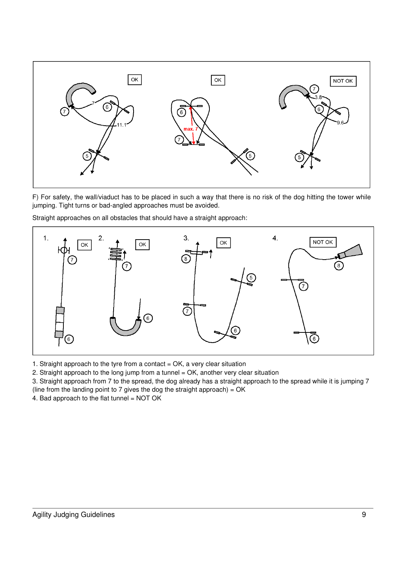

F) For safety, the wall/viaduct has to be placed in such a way that there is no risk of the dog hitting the tower while jumping. Tight turns or bad-angled approaches must be avoided.



Straight approaches on all obstacles that should have a straight approach:

1. Straight approach to the tyre from a contact  $= OK$ , a very clear situation

2. Straight approach to the long jump from a tunnel = OK, another very clear situation

3. Straight approach from 7 to the spread, the dog already has a straight approach to the spread while it is jumping 7

(line from the landing point to 7 gives the dog the straight approach) =  $OK$ 

4. Bad approach to the flat tunnel = NOT OK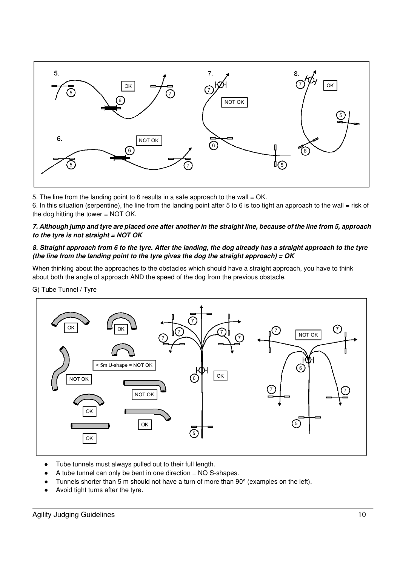

5. The line from the landing point to 6 results in a safe approach to the wall = OK.

6. In this situation (serpentine), the line from the landing point after 5 to 6 is too tight an approach to the wall = risk of the dog hitting the tower = NOT OK.

#### *7. Although jump and tyre are placed one after another in the straight line, because of the line from 5, approach to the tyre is not straight = NOT OK*

## *8. Straight approach from 6 to the tyre. After the landing, the dog already has a straight approach to the tyre (the line from the landing point to the tyre gives the dog the straight approach) = OK*

When thinking about the approaches to the obstacles which should have a straight approach, you have to think about both the angle of approach AND the speed of the dog from the previous obstacle.

G) Tube Tunnel / Tyre



- Tube tunnels must always pulled out to their full length.
- A tube tunnel can only be bent in one direction  $= NO S$ -shapes.
- Tunnels shorter than 5 m should not have a turn of more than 90° (examples on the left).
- Avoid tight turns after the tyre.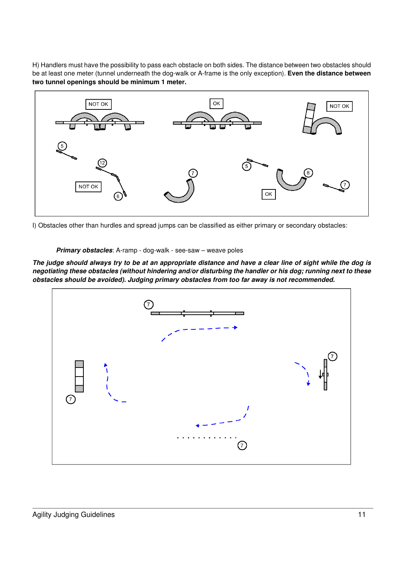H) Handlers must have the possibility to pass each obstacle on both sides. The distance between two obstacles should be at least one meter (tunnel underneath the dog-walk or A-frame is the only exception). **Even the distance between two tunnel openings should be minimum 1 meter.** 



I) Obstacles other than hurdles and spread jumps can be classified as either primary or secondary obstacles:

#### *Primary obstacles*: A-ramp - dog-walk - see-saw – weave poles

*The judge should always try to be at an appropriate distance and have a clear line of sight while the dog is negotiating these obstacles (without hindering and/or disturbing the handler or his dog; running next to these obstacles should be avoided). Judging primary obstacles from too far away is not recommended.*

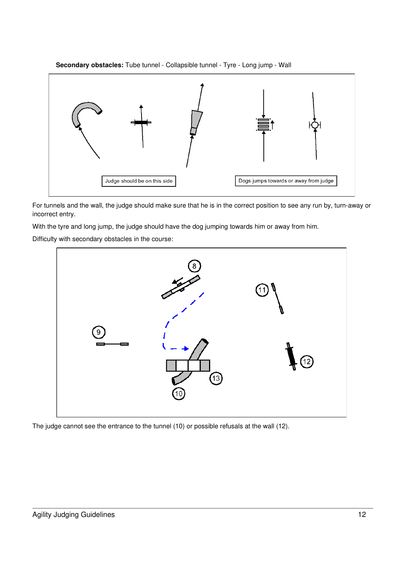



For tunnels and the wall, the judge should make sure that he is in the correct position to see any run by, turn-away or incorrect entry.

With the tyre and long jump, the judge should have the dog jumping towards him or away from him.

Difficulty with secondary obstacles in the course:



The judge cannot see the entrance to the tunnel (10) or possible refusals at the wall (12).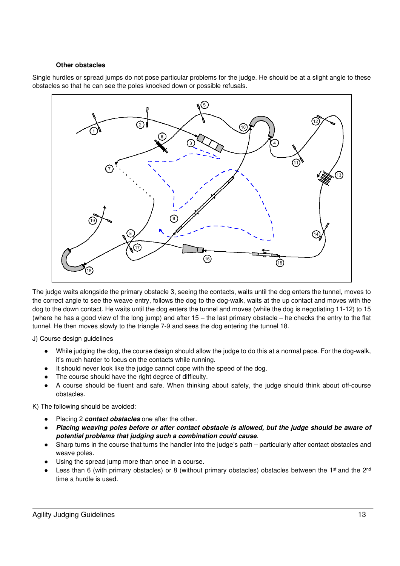#### **Other obstacles**

Single hurdles or spread jumps do not pose particular problems for the judge. He should be at a slight angle to these obstacles so that he can see the poles knocked down or possible refusals.



The judge waits alongside the primary obstacle 3, seeing the contacts, waits until the dog enters the tunnel, moves to the correct angle to see the weave entry, follows the dog to the dog-walk, waits at the up contact and moves with the dog to the down contact. He waits until the dog enters the tunnel and moves (while the dog is negotiating 11-12) to 15 (where he has a good view of the long jump) and after  $15 -$  the last primary obstacle – he checks the entry to the flat tunnel. He then moves slowly to the triangle 7-9 and sees the dog entering the tunnel 18.

J) Course design guidelines

- While judging the dog, the course design should allow the judge to do this at a normal pace. For the dog-walk, it's much harder to focus on the contacts while running.
- It should never look like the judge cannot cope with the speed of the dog.
- The course should have the right degree of difficulty.
- A course should be fluent and safe. When thinking about safety, the judge should think about off-course obstacles.

K) The following should be avoided:

- Placing 2 *contact obstacles* one after the other.
- Placing weaving poles before or after contact obstacle is allowed, but the judge should be aware of *potential problems that judging such a combination could cause*.
- Sharp turns in the course that turns the handler into the judge's path particularly after contact obstacles and weave poles.
- Using the spread jump more than once in a course.
- Less than 6 (with primary obstacles) or 8 (without primary obstacles) obstacles between the 1<sup>st</sup> and the 2<sup>nd</sup> time a hurdle is used.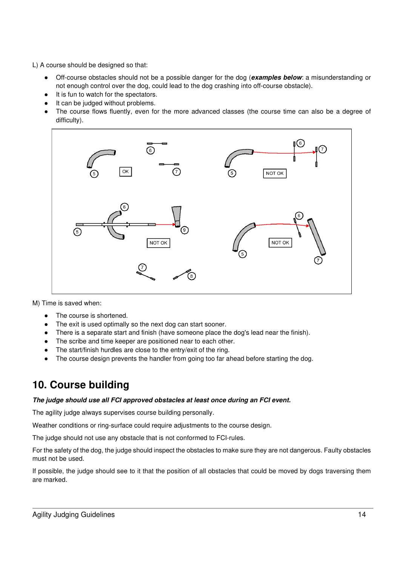L) A course should be designed so that:

- Off-course obstacles should not be a possible danger for the dog (**examples below**: a misunderstanding or not enough control over the dog, could lead to the dog crashing into off-course obstacle).
- It is fun to watch for the spectators.
- It can be judged without problems.
- The course flows fluently, even for the more advanced classes (the course time can also be a degree of difficulty).



M) Time is saved when:

- The course is shortened.
- The exit is used optimally so the next dog can start sooner.
- There is a separate start and finish (have someone place the dog's lead near the finish).
- The scribe and time keeper are positioned near to each other.
- The start/finish hurdles are close to the entry/exit of the ring.
- The course design prevents the handler from going too far ahead before starting the dog.

# **10. Course building**

## *The judge should use all FCI approved obstacles at least once during an FCI event.*

The agility judge always supervises course building personally.

Weather conditions or ring-surface could require adjustments to the course design.

The judge should not use any obstacle that is not conformed to FCI-rules.

For the safety of the dog, the judge should inspect the obstacles to make sure they are not dangerous. Faulty obstacles must not be used.

If possible, the judge should see to it that the position of all obstacles that could be moved by dogs traversing them are marked.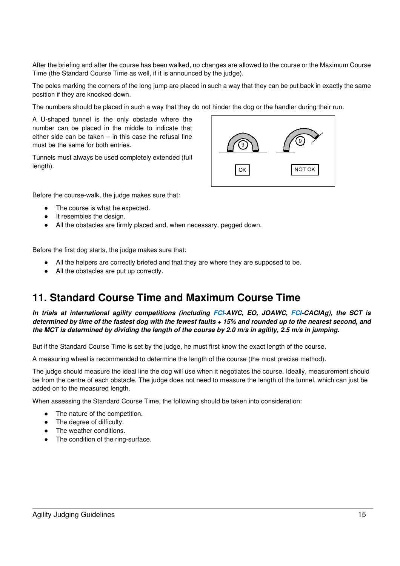After the briefing and after the course has been walked, no changes are allowed to the course or the Maximum Course Time (the Standard Course Time as well, if it is announced by the judge).

The poles marking the corners of the long jump are placed in such a way that they can be put back in exactly the same position if they are knocked down.

The numbers should be placed in such a way that they do not hinder the dog or the handler during their run.

A U-shaped tunnel is the only obstacle where the number can be placed in the middle to indicate that either side can be taken – in this case the refusal line must be the same for both entries.

Tunnels must always be used completely extended (full length).



Before the course-walk, the judge makes sure that:

- The course is what he expected.
- It resembles the design.
- All the obstacles are firmly placed and, when necessary, pegged down.

Before the first dog starts, the judge makes sure that:

- All the helpers are correctly briefed and that they are where they are supposed to be.
- All the obstacles are put up correctly.

# **11. Standard Course Time and Maximum Course Time**

*In trials at international agility competitions (including FCI-AWC, EO, JOAWC, FCI-CACIAg), the SCT is determined by time of the fastest dog with the fewest faults + 15% and rounded up to the nearest second, and the MCT is determined by dividing the length of the course by 2.0 m/s in agility, 2.5 m/s in jumping.* 

But if the Standard Course Time is set by the judge, he must first know the exact length of the course.

A measuring wheel is recommended to determine the length of the course (the most precise method).

The judge should measure the ideal line the dog will use when it negotiates the course. Ideally, measurement should be from the centre of each obstacle. The judge does not need to measure the length of the tunnel, which can just be added on to the measured length.

When assessing the Standard Course Time, the following should be taken into consideration:

- The nature of the competition.
- The degree of difficulty.
- The weather conditions.
- The condition of the ring-surface.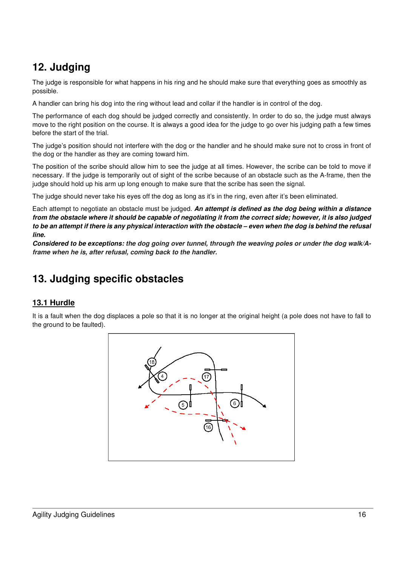# **12. Judging**

The judge is responsible for what happens in his ring and he should make sure that everything goes as smoothly as possible.

A handler can bring his dog into the ring without lead and collar if the handler is in control of the dog.

The performance of each dog should be judged correctly and consistently. In order to do so, the judge must always move to the right position on the course. It is always a good idea for the judge to go over his judging path a few times before the start of the trial.

The judge's position should not interfere with the dog or the handler and he should make sure not to cross in front of the dog or the handler as they are coming toward him.

The position of the scribe should allow him to see the judge at all times. However, the scribe can be told to move if necessary. If the judge is temporarily out of sight of the scribe because of an obstacle such as the A-frame, then the judge should hold up his arm up long enough to make sure that the scribe has seen the signal.

The judge should never take his eyes off the dog as long as it's in the ring, even after it's been eliminated.

Each attempt to negotiate an obstacle must be judged. *An attempt is defined as the dog being within a distance from the obstacle where it should be capable of negotiating it from the correct side; however, it is also judged to be an attempt if there is any physical interaction with the obstacle – even when the dog is behind the refusal line.* 

*Considered to be exceptions: the dog going over tunnel, through the weaving poles or under the dog walk/Aframe when he is, after refusal, coming back to the handler.* 

# **13. Judging specific obstacles**

## **13.1 Hurdle**

It is a fault when the dog displaces a pole so that it is no longer at the original height (a pole does not have to fall to the ground to be faulted).

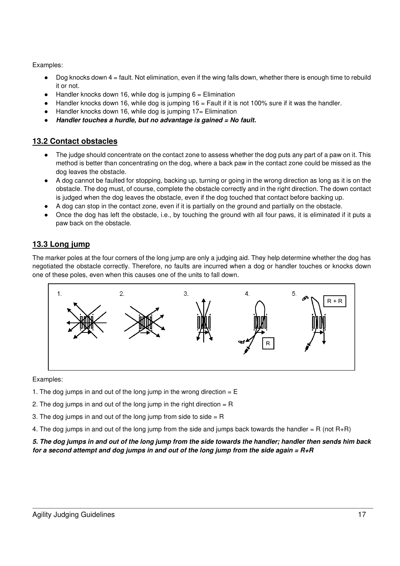- Dog knocks down  $4 =$  fault. Not elimination, even if the wing falls down, whether there is enough time to rebuild it or not.
- Handler knocks down 16, while dog is jumping  $6 =$  Elimination
- $\bullet$  Handler knocks down 16, while dog is jumping 16 = Fault if it is not 100% sure if it was the handler.
- Handler knocks down 16, while dog is jumping  $17=$  Elimination
- *Handler touches a hurdle, but no advantage is gained = No fault.*

## **13.2 Contact obstacles**

- The judge should concentrate on the contact zone to assess whether the dog puts any part of a paw on it. This method is better than concentrating on the dog, where a back paw in the contact zone could be missed as the dog leaves the obstacle.
- A dog cannot be faulted for stopping, backing up, turning or going in the wrong direction as long as it is on the obstacle. The dog must, of course, complete the obstacle correctly and in the right direction. The down contact is judged when the dog leaves the obstacle, even if the dog touched that contact before backing up.
- A dog can stop in the contact zone, even if it is partially on the ground and partially on the obstacle.
- Once the dog has left the obstacle, i.e., by touching the ground with all four paws, it is eliminated if it puts a paw back on the obstacle.

# **13.3 Long jump**

The marker poles at the four corners of the long jump are only a judging aid. They help determine whether the dog has negotiated the obstacle correctly. Therefore, no faults are incurred when a dog or handler touches or knocks down one of these poles, even when this causes one of the units to fall down.



Examples:

- 1. The dog jumps in and out of the long jump in the wrong direction  $= E$
- 2. The dog jumps in and out of the long jump in the right direction  $= R$
- 3. The dog jumps in and out of the long jump from side to side  $= R$
- 4. The dog jumps in and out of the long jump from the side and jumps back towards the handler = R (not R+R)

*5. The dog jumps in and out of the long jump from the side towards the handler; handler then sends him back for a second attempt and dog jumps in and out of the long jump from the side again = R+R*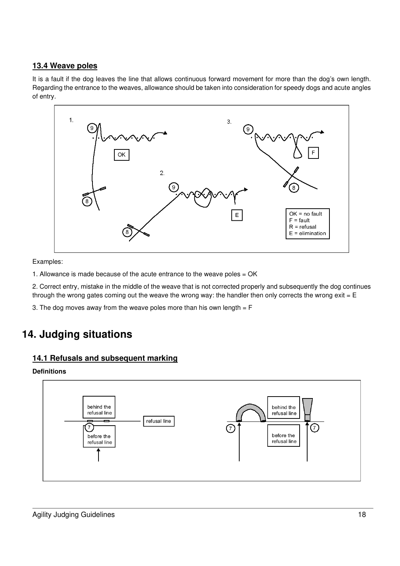# **13.4 Weave poles**

It is a fault if the dog leaves the line that allows continuous forward movement for more than the dog's own length. Regarding the entrance to the weaves, allowance should be taken into consideration for speedy dogs and acute angles of entry.



Examples:

1. Allowance is made because of the acute entrance to the weave poles = OK

2. Correct entry, mistake in the middle of the weave that is not corrected properly and subsequently the dog continues through the wrong gates coming out the weave the wrong way: the handler then only corrects the wrong exit =  $E$ 

3. The dog moves away from the weave poles more than his own length  $=$  F

# **14. Judging situations**

## **14.1 Refusals and subsequent marking**

## **Definitions**

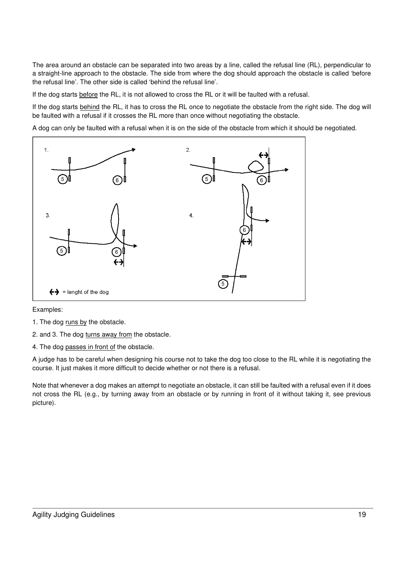The area around an obstacle can be separated into two areas by a line, called the refusal line (RL), perpendicular to a straight-line approach to the obstacle. The side from where the dog should approach the obstacle is called 'before the refusal line'. The other side is called 'behind the refusal line'.

If the dog starts before the RL, it is not allowed to cross the RL or it will be faulted with a refusal.

If the dog starts behind the RL, it has to cross the RL once to negotiate the obstacle from the right side. The dog will be faulted with a refusal if it crosses the RL more than once without negotiating the obstacle.

A dog can only be faulted with a refusal when it is on the side of the obstacle from which it should be negotiated.



Examples:

- 1. The dog runs by the obstacle.
- 2. and 3. The dog turns away from the obstacle.
- 4. The dog passes in front of the obstacle.

A judge has to be careful when designing his course not to take the dog too close to the RL while it is negotiating the course. It just makes it more difficult to decide whether or not there is a refusal.

Note that whenever a dog makes an attempt to negotiate an obstacle, it can still be faulted with a refusal even if it does not cross the RL (e.g., by turning away from an obstacle or by running in front of it without taking it, see previous picture).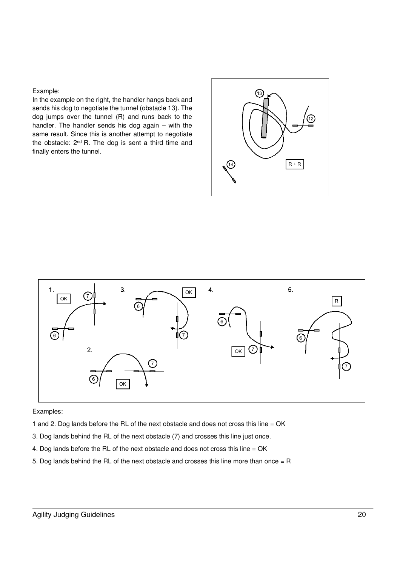In the example on the right, the handler hangs back and sends his dog to negotiate the tunnel (obstacle 13). The dog jumps over the tunnel (R) and runs back to the handler. The handler sends his dog again – with the same result. Since this is another attempt to negotiate the obstacle: 2<sup>nd</sup> R. The dog is sent a third time and finally enters the tunnel.





#### Examples:

- 1 and 2. Dog lands before the RL of the next obstacle and does not cross this line = OK
- 3. Dog lands behind the RL of the next obstacle (7) and crosses this line just once.
- 4. Dog lands before the RL of the next obstacle and does not cross this line = OK
- 5. Dog lands behind the RL of the next obstacle and crosses this line more than once  $=$  R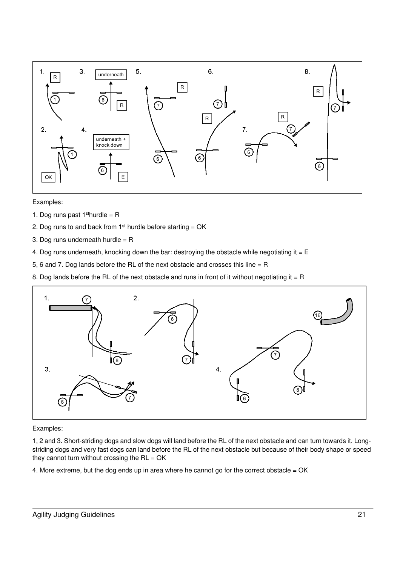

- 1. Dog runs past  $1<sup>st</sup>$ hurdle = R
- 2. Dog runs to and back from  $1<sup>st</sup>$  hurdle before starting = OK
- 3. Dog runs underneath hurdle = R
- 4. Dog runs underneath, knocking down the bar: destroying the obstacle while negotiating it =  $E$
- 5, 6 and 7. Dog lands before the RL of the next obstacle and crosses this line = R
- 8. Dog lands before the RL of the next obstacle and runs in front of it without negotiating it = R



#### Examples:

1, 2 and 3. Short-striding dogs and slow dogs will land before the RL of the next obstacle and can turn towards it. Longstriding dogs and very fast dogs can land before the RL of the next obstacle but because of their body shape or speed they cannot turn without crossing the  $RL = OK$ 

4. More extreme, but the dog ends up in area where he cannot go for the correct obstacle = OK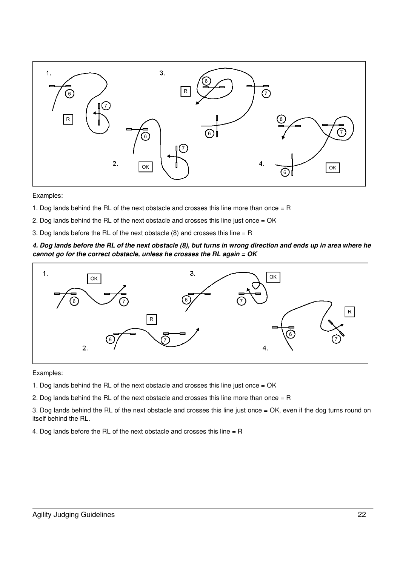

- 1. Dog lands behind the RL of the next obstacle and crosses this line more than once  $=$  R
- 2. Dog lands behind the RL of the next obstacle and crosses this line just once = OK
- 3. Dog lands before the RL of the next obstacle  $(8)$  and crosses this line = R

#### *4. Dog lands before the RL of the next obstacle (8), but turns in wrong direction and ends up in area where he cannot go for the correct obstacle, unless he crosses the RL again = OK*



Examples:

- 1. Dog lands behind the RL of the next obstacle and crosses this line just once = OK
- 2. Dog lands behind the RL of the next obstacle and crosses this line more than once  $=$  R
- 3. Dog lands behind the RL of the next obstacle and crosses this line just once = OK, even if the dog turns round on itself behind the RL.
- 4. Dog lands before the RL of the next obstacle and crosses this line = R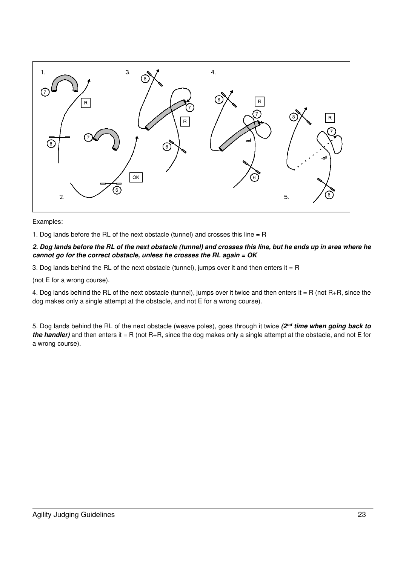

1. Dog lands before the RL of the next obstacle (tunnel) and crosses this line = R

#### *2. Dog lands before the RL of the next obstacle (tunnel) and crosses this line, but he ends up in area where he cannot go for the correct obstacle, unless he crosses the RL again = OK*

3. Dog lands behind the RL of the next obstacle (tunnel), jumps over it and then enters it = R

(not E for a wrong course).

4. Dog lands behind the RL of the next obstacle (tunnel), jumps over it twice and then enters it = R (not R+R, since the dog makes only a single attempt at the obstacle, and not E for a wrong course).

5. Dog lands behind the RL of the next obstacle (weave poles), goes through it twice *(2nd time when going back to the handler)* and then enters it = R (not R+R, since the dog makes only a single attempt at the obstacle, and not E for a wrong course).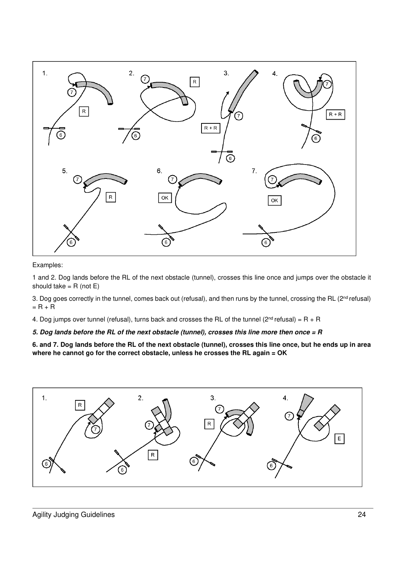

1 and 2. Dog lands before the RL of the next obstacle (tunnel), crosses this line once and jumps over the obstacle it should take  $=$  R (not E)

3. Dog goes correctly in the tunnel, comes back out (refusal), and then runs by the tunnel, crossing the RL (2<sup>nd</sup> refusal)  $= R + R$ 

4. Dog jumps over tunnel (refusal), turns back and crosses the RL of the tunnel ( $2^{nd}$  refusal) = R + R

## *5. Dog lands before the RL of the next obstacle (tunnel), crosses this line more then once = R*

**6. and 7. Dog lands before the RL of the next obstacle (tunnel), crosses this line once, but he ends up in area where he cannot go for the correct obstacle, unless he crosses the RL again = OK** 

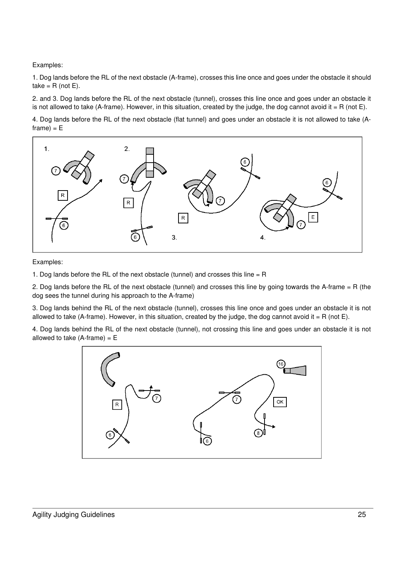1. Dog lands before the RL of the next obstacle (A-frame), crosses this line once and goes under the obstacle it should take =  $R$  (not  $E$ ).

2. and 3. Dog lands before the RL of the next obstacle (tunnel), crosses this line once and goes under an obstacle it is not allowed to take (A-frame). However, in this situation, created by the judge, the dog cannot avoid it = R (not E).

4. Dog lands before the RL of the next obstacle (flat tunnel) and goes under an obstacle it is not allowed to take (A $frame$ ) =  $E$ 



Examples:

1. Dog lands before the RL of the next obstacle (tunnel) and crosses this line = R

2. Dog lands before the RL of the next obstacle (tunnel) and crosses this line by going towards the A-frame = R (the dog sees the tunnel during his approach to the A-frame)

3. Dog lands behind the RL of the next obstacle (tunnel), crosses this line once and goes under an obstacle it is not allowed to take (A-frame). However, in this situation, created by the judge, the dog cannot avoid it = R (not E).

4. Dog lands behind the RL of the next obstacle (tunnel), not crossing this line and goes under an obstacle it is not allowed to take  $(A$ -frame) =  $E$ 

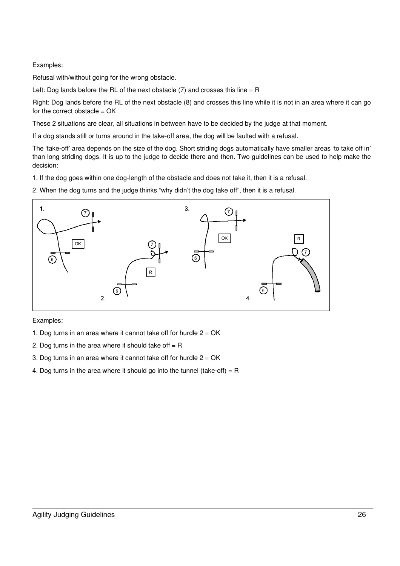Refusal with/without going for the wrong obstacle.

Left: Dog lands before the RL of the next obstacle  $(7)$  and crosses this line = R

Right: Dog lands before the RL of the next obstacle (8) and crosses this line while it is not in an area where it can go for the correct obstacle = OK

These 2 situations are clear, all situations in between have to be decided by the judge at that moment.

If a dog stands still or turns around in the take-off area, the dog will be faulted with a refusal.

The 'take-off' area depends on the size of the dog. Short striding dogs automatically have smaller areas 'to take off in' than long striding dogs. It is up to the judge to decide there and then. Two guidelines can be used to help make the decision:

1. If the dog goes within one dog-length of the obstacle and does not take it, then it is a refusal.

2. When the dog turns and the judge thinks "why didn't the dog take off", then it is a refusal.



Examples:

1. Dog turns in an area where it cannot take off for hurdle  $2 = OK$ 

- 2. Dog turns in the area where it should take off  $=$  R
- 3. Dog turns in an area where it cannot take off for hurdle  $2 = OK$
- 4. Dog turns in the area where it should go into the tunnel (take-off) =  $R$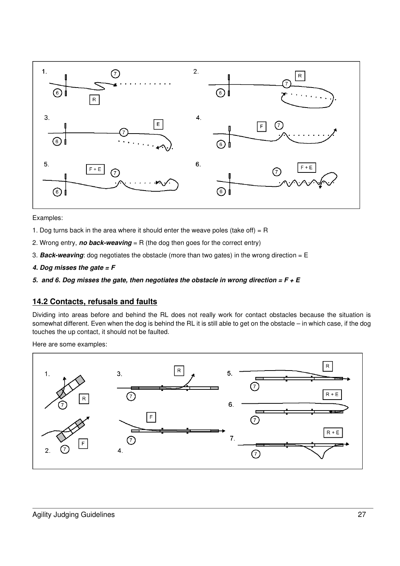

- 1. Dog turns back in the area where it should enter the weave poles (take off) =  $R$
- 2. Wrong entry, *no back-weaving* = R (the dog then goes for the correct entry)
- 3. *Back-weaving*: dog negotiates the obstacle (more than two gates) in the wrong direction = E
- *4. Dog misses the gate = F*
- *5. and 6. Dog misses the gate, then negotiates the obstacle in wrong direction = F + E*

#### **14.2 Contacts, refusals and faults**

Dividing into areas before and behind the RL does not really work for contact obstacles because the situation is somewhat different. Even when the dog is behind the RL it is still able to get on the obstacle – in which case, if the dog touches the up contact, it should not be faulted.

Here are some examples:

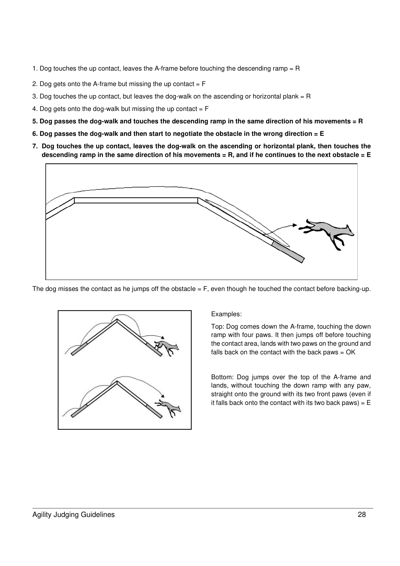- 1. Dog touches the up contact, leaves the A-frame before touching the descending ramp = R
- 2. Dog gets onto the A-frame but missing the up contact  $=$   $F$
- 3. Dog touches the up contact, but leaves the dog-walk on the ascending or horizontal plank  $=$  R
- 4. Dog gets onto the dog-walk but missing the up contact  $=$   $F$
- **5. Dog passes the dog-walk and touches the descending ramp in the same direction of his movements = R**
- **6. Dog passes the dog-walk and then start to negotiate the obstacle in the wrong direction = E**
- **7. Dog touches the up contact, leaves the dog-walk on the ascending or horizontal plank, then touches the descending ramp in the same direction of his movements = R, and if he continues to the next obstacle = E**



The dog misses the contact as he jumps off the obstacle = F, even though he touched the contact before backing-up.



Examples:

Top: Dog comes down the A-frame, touching the down ramp with four paws. It then jumps off before touching the contact area, lands with two paws on the ground and falls back on the contact with the back paws = OK

Bottom: Dog jumps over the top of the A-frame and lands, without touching the down ramp with any paw, straight onto the ground with its two front paws (even if it falls back onto the contact with its two back paws) =  $E$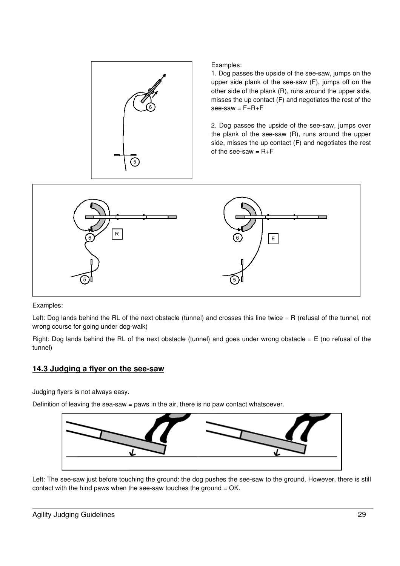

1. Dog passes the upside of the see-saw, jumps on the upper side plank of the see-saw (F), jumps off on the other side of the plank (R), runs around the upper side, misses the up contact (F) and negotiates the rest of the  $see-saw = F + R + F$ 

2. Dog passes the upside of the see-saw, jumps over the plank of the see-saw (R), runs around the upper side, misses the up contact (F) and negotiates the rest of the see-saw  $= R + F$ 



Examples:

Left: Dog lands behind the RL of the next obstacle (tunnel) and crosses this line twice = R (refusal of the tunnel, not wrong course for going under dog-walk)

Right: Dog lands behind the RL of the next obstacle (tunnel) and goes under wrong obstacle =  $E$  (no refusal of the tunnel)

## **14.3 Judging a flyer on the see-saw**

Judging flyers is not always easy.

Definition of leaving the sea-saw  $=$  paws in the air, there is no paw contact whatsoever.



Left: The see-saw just before touching the ground: the dog pushes the see-saw to the ground. However, there is still contact with the hind paws when the see-saw touches the ground = OK.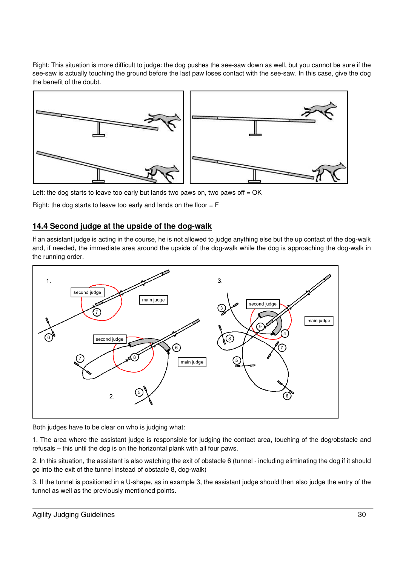Right: This situation is more difficult to judge: the dog pushes the see-saw down as well, but you cannot be sure if the see-saw is actually touching the ground before the last paw loses contact with the see-saw. In this case, give the dog the benefit of the doubt.



Left: the dog starts to leave too early but lands two paws on, two paws off  $= OK$ 

Right: the dog starts to leave too early and lands on the floor  $=$  F

## **14.4 Second judge at the upside of the dog-walk**

If an assistant judge is acting in the course, he is not allowed to judge anything else but the up contact of the dog-walk and, if needed, the immediate area around the upside of the dog-walk while the dog is approaching the dog-walk in the running order.



Both judges have to be clear on who is judging what:

1. The area where the assistant judge is responsible for judging the contact area, touching of the dog/obstacle and refusals – this until the dog is on the horizontal plank with all four paws.

2. In this situation, the assistant is also watching the exit of obstacle 6 (tunnel - including eliminating the dog if it should go into the exit of the tunnel instead of obstacle 8, dog-walk)

3. If the tunnel is positioned in a U-shape, as in example 3, the assistant judge should then also judge the entry of the tunnel as well as the previously mentioned points.